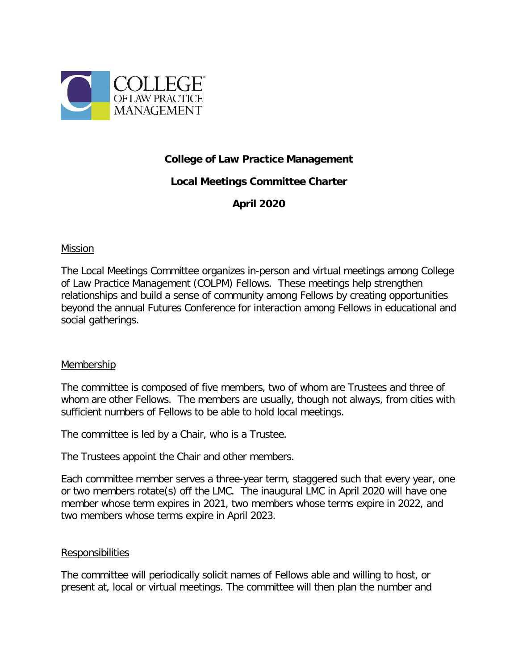

## **College of Law Practice Management**

# **Local Meetings Committee Charter**

# **April 2020**

### Mission

The Local Meetings Committee organizes in-person and virtual meetings among College of Law Practice Management (COLPM) Fellows. These meetings help strengthen relationships and build a sense of community among Fellows by creating opportunities beyond the annual Futures Conference for interaction among Fellows in educational and social gatherings.

#### Membership

The committee is composed of five members, two of whom are Trustees and three of whom are other Fellows. The members are usually, though not always, from cities with sufficient numbers of Fellows to be able to hold local meetings.

The committee is led by a Chair, who is a Trustee.

The Trustees appoint the Chair and other members.

Each committee member serves a three-year term, staggered such that every year, one or two members rotate(s) off the LMC. The inaugural LMC in April 2020 will have one member whose term expires in 2021, two members whose terms expire in 2022, and two members whose terms expire in April 2023.

#### **Responsibilities**

The committee will periodically solicit names of Fellows able and willing to host, or present at, local or virtual meetings. The committee will then plan the number and